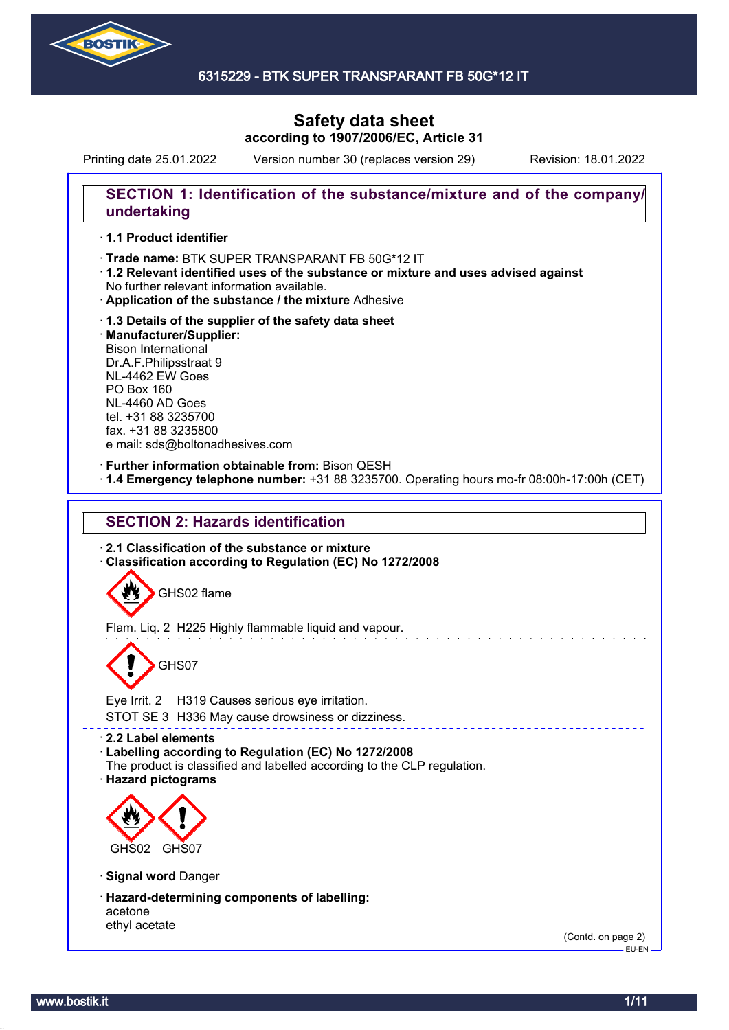

## 6315229 - BTK SUPER TRANSPARANT FB 50G\*12 IT

## **Safety data sheet according to 1907/2006/EC, Article 31**

Printing date 25.01.2022 Version number 30 (replaces version 29) Revision: 18.01.2022

## **SECTION 1: Identification of the substance/mixture and of the company/ undertaking**

## · **1.1 Product identifier**

- · Trade name: BTK SUPER TRANSPARANT FB 50G\*12 IT
- · **1.2 Relevant identified uses of the substance or mixture and uses advised against** No further relevant information available.
- · **Application of the substance / the mixture** Adhesive
- · **1.3 Details of the supplier of the safety data sheet** · **Manufacturer/Supplier:** Bison International Dr.A.F.Philipsstraat 9 NL-4462 EW Goes PO Box 160 NL-4460 AD Goes tel. +31 88 3235700 fax. +31 88 3235800 e mail: sds@boltonadhesives.com

#### · **Further information obtainable from:** Bison QESH

· **1.4 Emergency telephone number:** +31 88 3235700. Operating hours mo-fr 08:00h-17:00h (CET)

## **SECTION 2: Hazards identification**

· **2.1 Classification of the substance or mixture** · **Classification according to Regulation (EC) No 1272/2008**

GHS02 flame

Flam. Liq. 2 H225 Highly flammable liquid and vapour.

# GHS07

Eye Irrit. 2 H319 Causes serious eye irritation.

STOT SE 3 H336 May cause drowsiness or dizziness.

· **2.2 Label elements**

- · **Labelling according to Regulation (EC) No 1272/2008**
- The product is classified and labelled according to the CLP regulation.
- · **Hazard pictograms**



- · **Signal word** Danger
- · **Hazard-determining components of labelling:** acetone ethyl acetate

(Contd. on page 2) EU-EN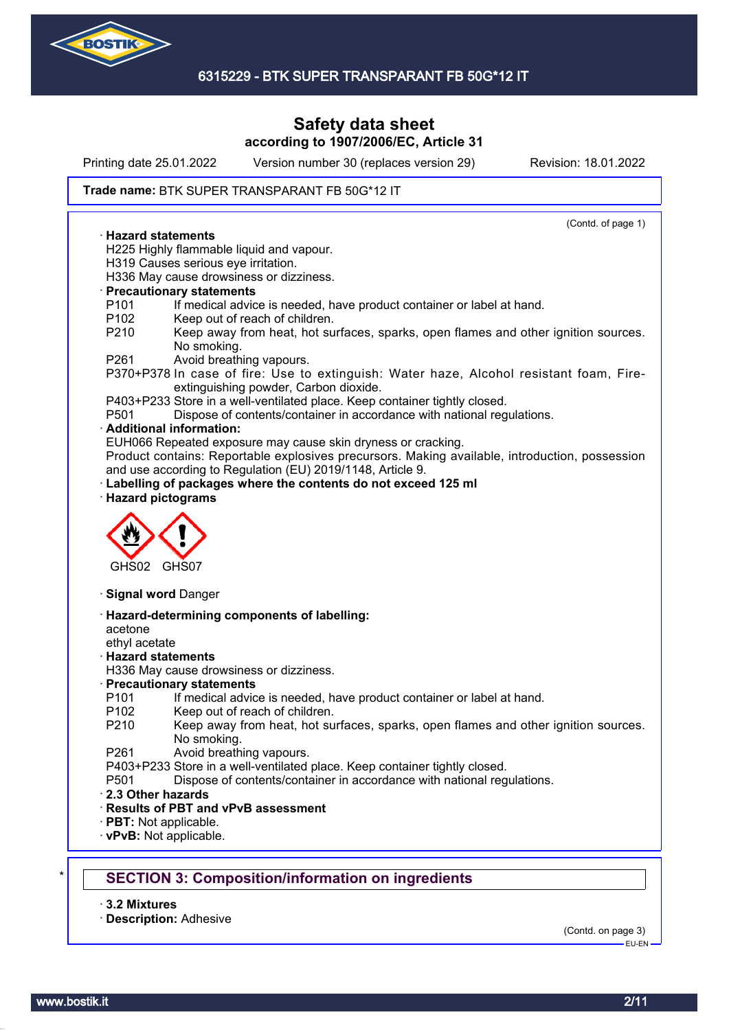

Printing date 25.01.2022 Version number 30 (replaces version 29) Revision: 18.01.2022

#### **Trade name: BTK SUPER TRANSPARANT FB 50G\*12 IT**

(Contd. of page 1) · **Hazard statements** H225 Highly flammable liquid and vapour. H319 Causes serious eye irritation. H336 May cause drowsiness or dizziness. · **Precautionary statements** P101 If medical advice is needed, have product container or label at hand. P102 Keep out of reach of children. P210 Keep away from heat, hot surfaces, sparks, open flames and other ignition sources. No smoking. P261 Avoid breathing vapours. P370+P378 In case of fire: Use to extinguish: Water haze, Alcohol resistant foam, Fireextinguishing powder, Carbon dioxide. P403+P233 Store in a well-ventilated place. Keep container tightly closed. P501 Dispose of contents/container in accordance with national regulations. · **Additional information:** EUH066 Repeated exposure may cause skin dryness or cracking. Product contains: Reportable explosives precursors. Making available, introduction, possession and use according to Regulation (EU) 2019/1148, Article 9. Labelling of packages where the contents do not exceed 125 ml · **Hazard pictograms** GHS02 GHS07 · **Signal word** Danger · **Hazard-determining components of labelling:** acetone ethyl acetate · **Hazard statements** H336 May cause drowsiness or dizziness. · **Precautionary statements** P101 If medical advice is needed, have product container or label at hand. P102 Keep out of reach of children. P210 Keep away from heat, hot surfaces, sparks, open flames and other ignition sources. No smoking. P261 Avoid breathing vapours. P403+P233 Store in a well-ventilated place. Keep container tightly closed. P501 Dispose of contents/container in accordance with national regulations. · **2.3 Other hazards** · **Results of PBT and vPvB assessment** · **PBT:** Not applicable. · **vPvB:** Not applicable. **SECTION 3: Composition/information on ingredients** 

· **3.2 Mixtures**

· **Description:** Adhesive

(Contd. on page 3)

EU-EN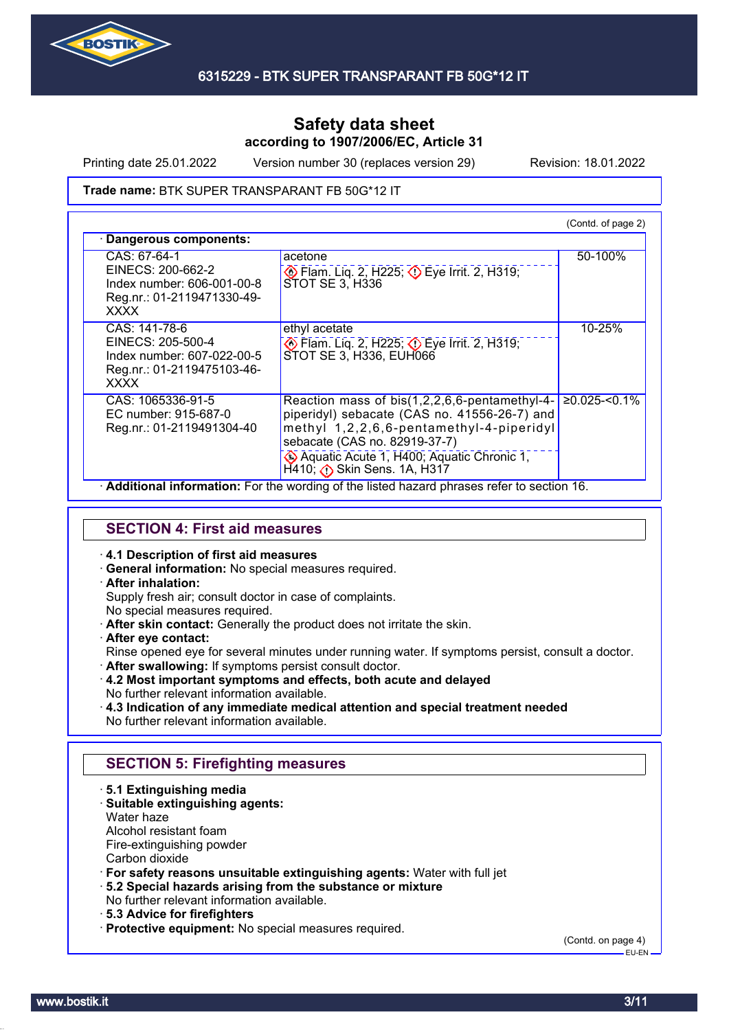

Printing date 25.01.2022 Version number 30 (replaces version 29) Revision: 18.01.2022

#### **Trade name: BTK SUPER TRANSPARANT FB 50G\*12 IT**

|                                                                                                               |                                                                                                                                                                                                                                                      | (Contd. of page 2) |
|---------------------------------------------------------------------------------------------------------------|------------------------------------------------------------------------------------------------------------------------------------------------------------------------------------------------------------------------------------------------------|--------------------|
| · Dangerous components:                                                                                       |                                                                                                                                                                                                                                                      |                    |
| CAS: 67-64-1<br>EINECS: 200-662-2<br>Index number: 606-001-00-8<br>Reg.nr.: 01-2119471330-49-<br><b>XXXX</b>  | acetone<br>Eye Irrit. 2, H225; Deve Irrit. 2, H319;<br>STOT SE 3, H336                                                                                                                                                                               | 50-100%            |
| CAS: 141-78-6<br>EINECS: 205-500-4<br>Index number: 607-022-00-5<br>Reg.nr.: 01-2119475103-46-<br><b>XXXX</b> | ethyl acetate<br>$\diamondsuit$ Flam. Liq. 2, H225; $\diamondsuit$ Eye Irrit. 2, H319;<br>STOT SE 3, H336, EUH066                                                                                                                                    | 10-25%             |
| CAS: 1065336-91-5<br>EC number: 915-687-0<br>Reg.nr.: 01-2119491304-40                                        | Reaction mass of bis(1,2,2,6,6-pentamethyl-4-<br>piperidyl) sebacate (CAS no. 41556-26-7) and<br>methyl 1,2,2,6,6-pentamethyl-4-piperidyl<br>sebacate (CAS no. 82919-37-7)<br>Aquatic Acute 1, H400; Aquatic Chronic 1,<br>H410; Bkin Sens. 1A, H317 | $≥0.025$ -<0.1%    |

**SECTION 4: First aid measures**

- · **4.1 Description of first aid measures**
- · **General information:** No special measures required.
- · **After inhalation:**

Supply fresh air; consult doctor in case of complaints.

- No special measures required.
- · **After skin contact:** Generally the product does not irritate the skin.
- · **After eye contact:**

Rinse opened eye for several minutes under running water. If symptoms persist, consult a doctor.

- · **After swallowing:** If symptoms persist consult doctor.
- · **4.2 Most important symptoms and effects, both acute and delayed** No further relevant information available.
- · **4.3 Indication of any immediate medical attention and special treatment needed** No further relevant information available.

## **SECTION 5: Firefighting measures**

- · **5.1 Extinguishing media**
- · **Suitable extinguishing agents:**
- Water haze

Alcohol resistant foam

- Fire-extinguishing powder
- Carbon dioxide
- · **For safety reasons unsuitable extinguishing agents:** Water with full jet
- · **5.2 Special hazards arising from the substance or mixture**
- No further relevant information available.
- · **5.3 Advice for firefighters**
- · **Protective equipment:** No special measures required.

(Contd. on page 4)

 $-$ FH-FN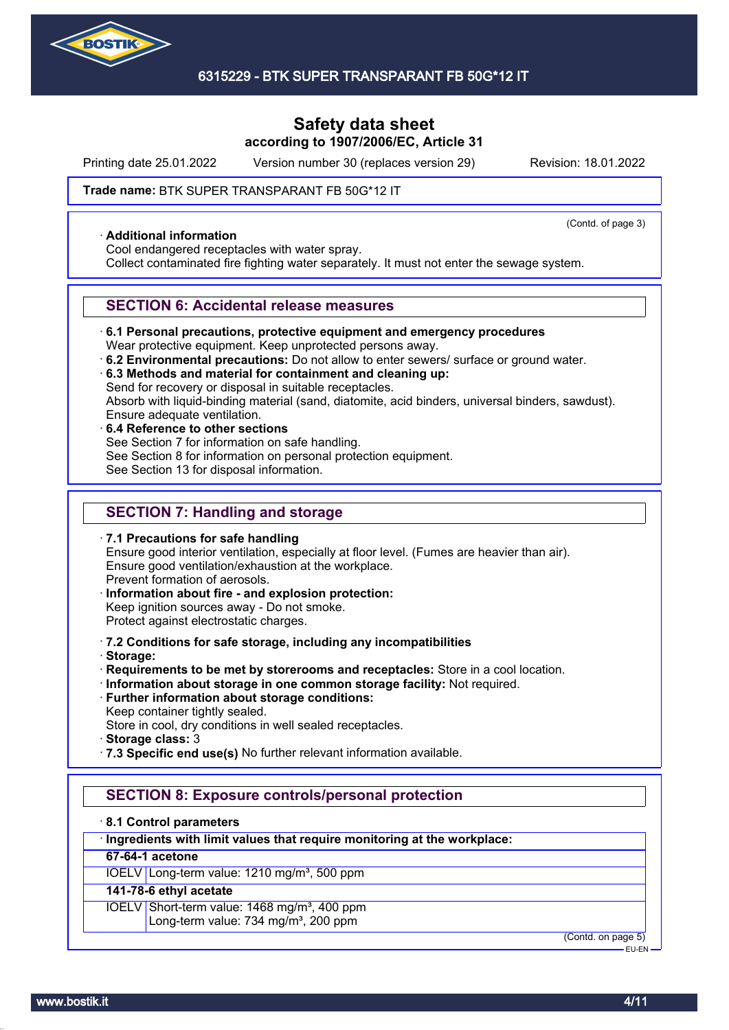

Printing date 25.01.2022 Version number 30 (replaces version 29) Revision: 18.01.2022

(Contd. of page 3)

#### **Trade name: BTK SUPER TRANSPARANT FB 50G\*12 IT**

#### · **Additional information**

Cool endangered receptacles with water spray.

Collect contaminated fire fighting water separately. It must not enter the sewage system.

#### **SECTION 6: Accidental release measures**

· **6.1 Personal precautions, protective equipment and emergency procedures**

Wear protective equipment. Keep unprotected persons away.

- · **6.2 Environmental precautions:** Do not allow to enter sewers/ surface or ground water.
- · **6.3 Methods and material for containment and cleaning up:**

Send for recovery or disposal in suitable receptacles.

Absorb with liquid-binding material (sand, diatomite, acid binders, universal binders, sawdust).

- Ensure adequate ventilation.
- · **6.4 Reference to other sections** See Section 7 for information on safe handling. See Section 8 for information on personal protection equipment. See Section 13 for disposal information.

## **SECTION 7: Handling and storage**

· **7.1 Precautions for safe handling** Ensure good interior ventilation, especially at floor level. (Fumes are heavier than air). Ensure good ventilation/exhaustion at the workplace. Prevent formation of aerosols. · **Information about fire - and explosion protection:**

- Keep ignition sources away Do not smoke. Protect against electrostatic charges.
- · **7.2 Conditions for safe storage, including any incompatibilities**
- · **Storage:**
- · **Requirements to be met by storerooms and receptacles:** Store in a cool location.
- · **Information about storage in one common storage facility:** Not required.
- · **Further information about storage conditions:** Keep container tightly sealed.
- Store in cool, dry conditions in well sealed receptacles.
- · **Storage class:** 3
- · **7.3 Specific end use(s)** No further relevant information available.

## **SECTION 8: Exposure controls/personal protection**

#### · **8.1 Control parameters**

#### · **Ingredients with limit values that require monitoring at the workplace:**

## **67-64-1 acetone**

IOELV Long-term value: 1210 mg/m<sup>3</sup>, 500 ppm

## **141-78-6 ethyl acetate**

IOELV Short-term value: 1468 mg/m<sup>3</sup>, 400 ppm Long-term value: 734 mg/m<sup>3</sup>, 200 ppm

(Contd. on page 5)

EU-EN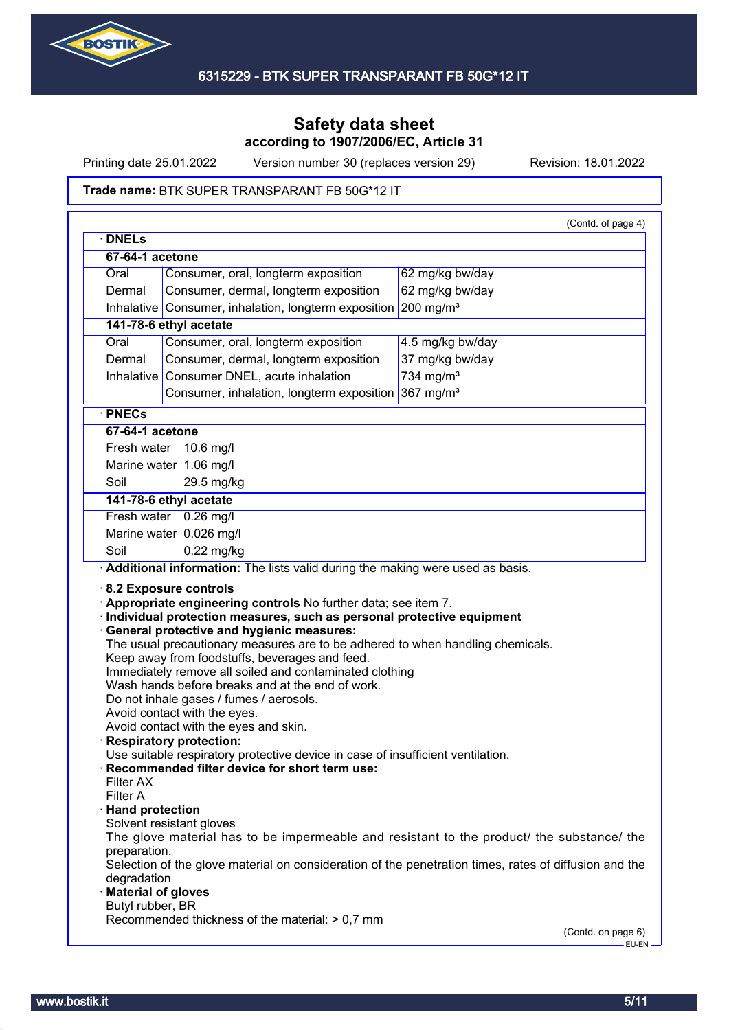

Printing date 25.01.2022 Version number 30 (replaces version 29) Revision: 18.01.2022

#### **Trade name: BTK SUPER TRANSPARANT FB 50G\*12 IT**

|                                                                                                        | 67-64-1 acetone                                                                                                                                                                                                                                                                                                                                                                                       |                                                                                                                                                                                                    |
|--------------------------------------------------------------------------------------------------------|-------------------------------------------------------------------------------------------------------------------------------------------------------------------------------------------------------------------------------------------------------------------------------------------------------------------------------------------------------------------------------------------------------|----------------------------------------------------------------------------------------------------------------------------------------------------------------------------------------------------|
| Oral                                                                                                   | Consumer, oral, longterm exposition                                                                                                                                                                                                                                                                                                                                                                   | 62 mg/kg bw/day                                                                                                                                                                                    |
| Dermal                                                                                                 | Consumer, dermal, longterm exposition                                                                                                                                                                                                                                                                                                                                                                 | 62 mg/kg bw/day                                                                                                                                                                                    |
|                                                                                                        | Inhalative Consumer, inhalation, longterm exposition                                                                                                                                                                                                                                                                                                                                                  | $200$ mg/m <sup>3</sup>                                                                                                                                                                            |
|                                                                                                        | 141-78-6 ethyl acetate                                                                                                                                                                                                                                                                                                                                                                                |                                                                                                                                                                                                    |
| Oral                                                                                                   | Consumer, oral, longterm exposition                                                                                                                                                                                                                                                                                                                                                                   | 4.5 mg/kg bw/day                                                                                                                                                                                   |
| Dermal                                                                                                 | Consumer, dermal, longterm exposition                                                                                                                                                                                                                                                                                                                                                                 | 37 mg/kg bw/day                                                                                                                                                                                    |
|                                                                                                        |                                                                                                                                                                                                                                                                                                                                                                                                       |                                                                                                                                                                                                    |
| Inhalative                                                                                             | Consumer DNEL, acute inhalation                                                                                                                                                                                                                                                                                                                                                                       | 734 mg/m $3$                                                                                                                                                                                       |
|                                                                                                        | Consumer, inhalation, longterm exposition                                                                                                                                                                                                                                                                                                                                                             | 367 mg/m <sup>3</sup>                                                                                                                                                                              |
| · PNECs                                                                                                |                                                                                                                                                                                                                                                                                                                                                                                                       |                                                                                                                                                                                                    |
| 67-64-1 acetone                                                                                        |                                                                                                                                                                                                                                                                                                                                                                                                       |                                                                                                                                                                                                    |
| Fresh water                                                                                            | $10.6$ mg/                                                                                                                                                                                                                                                                                                                                                                                            |                                                                                                                                                                                                    |
|                                                                                                        | Marine water $1.06$ mg/l                                                                                                                                                                                                                                                                                                                                                                              |                                                                                                                                                                                                    |
| Soil                                                                                                   | 29.5 mg/kg                                                                                                                                                                                                                                                                                                                                                                                            |                                                                                                                                                                                                    |
|                                                                                                        | 141-78-6 ethyl acetate                                                                                                                                                                                                                                                                                                                                                                                |                                                                                                                                                                                                    |
|                                                                                                        | Fresh water $\sqrt{0.26}$ mg/l                                                                                                                                                                                                                                                                                                                                                                        |                                                                                                                                                                                                    |
|                                                                                                        | Marine water $0.026$ mg/l                                                                                                                                                                                                                                                                                                                                                                             |                                                                                                                                                                                                    |
| Soil                                                                                                   | $0.22$ mg/kg                                                                                                                                                                                                                                                                                                                                                                                          |                                                                                                                                                                                                    |
|                                                                                                        | 8.2 Exposure controls<br>Appropriate engineering controls No further data; see item 7.<br>· Individual protection measures, such as personal protective equipment<br><b>General protective and hygienic measures:</b>                                                                                                                                                                                 | Additional information: The lists valid during the making were used as basis.                                                                                                                      |
|                                                                                                        | The usual precautionary measures are to be adhered to when handling chemicals.<br>Keep away from foodstuffs, beverages and feed.<br>Immediately remove all soiled and contaminated clothing<br>Wash hands before breaks and at the end of work.<br>Do not inhale gases / fumes / aerosols.<br>Avoid contact with the eyes.<br>Avoid contact with the eyes and skin.<br><b>Respiratory protection:</b> |                                                                                                                                                                                                    |
| Filter AX<br>Filter A<br>· Hand protection<br>preparation.<br>degradation<br><b>Material of gloves</b> | Use suitable respiratory protective device in case of insufficient ventilation.<br>Recommended filter device for short term use:<br>Solvent resistant gloves                                                                                                                                                                                                                                          | The glove material has to be impermeable and resistant to the product/ the substance/ the<br>Selection of the glove material on consideration of the penetration times, rates of diffusion and the |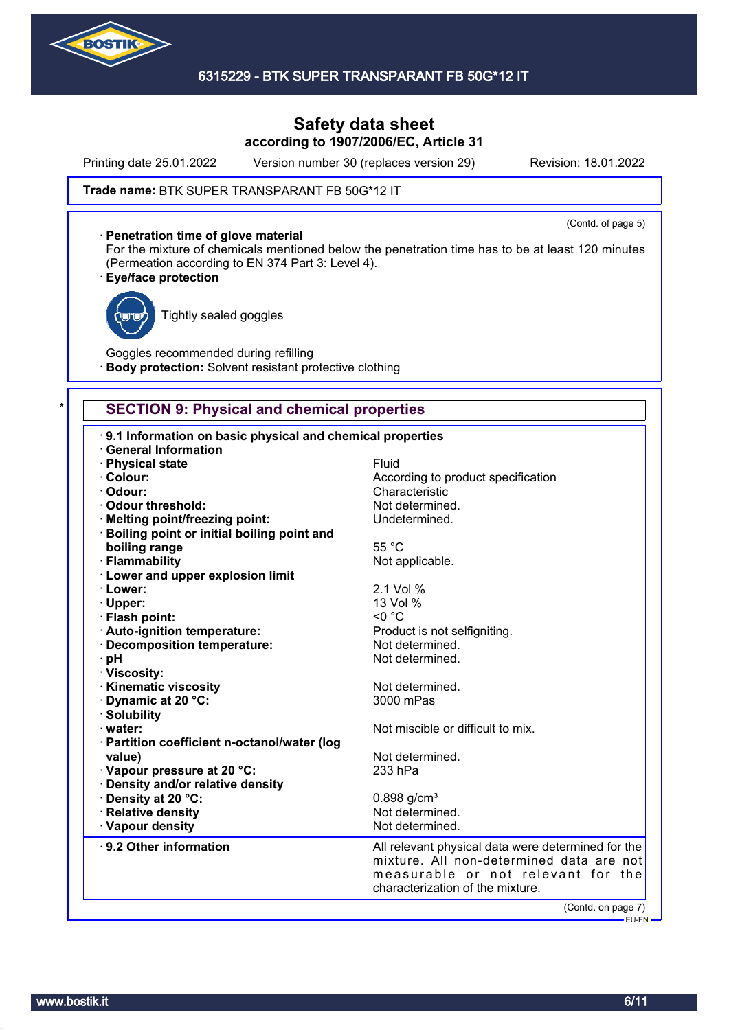

## 6315229 - BTK SUPER TRANSPARANT FB 50G\*12 IT

## **Safety data sheet according to 1907/2006/EC, Article 31**

Printing date 25.01.2022 Version number 30 (replaces version 29) Revision: 18.01.2022

(Contd. of page 5)

#### **Trade name: BTK SUPER TRANSPARANT FB 50G\*12 IT**

#### · **Penetration time of glove material**

For the mixture of chemicals mentioned below the penetration time has to be at least 120 minutes (Permeation according to EN 374 Part 3: Level 4).

#### · **Eye/face protection**



Tightly sealed goggles

Goggles recommended during refilling **Body protection:** Solvent resistant protective clothing

## **SECTION 9: Physical and chemical properties**

| 9.1 Information on basic physical and chemical properties<br><b>General Information</b> |                                                    |
|-----------------------------------------------------------------------------------------|----------------------------------------------------|
| · Physical state                                                                        | Fluid                                              |
| · Colour:                                                                               | According to product specification                 |
| · Odour:                                                                                | Characteristic                                     |
| Odour threshold:                                                                        | Not determined.                                    |
| · Melting point/freezing point:                                                         | Undetermined.                                      |
| · Boiling point or initial boiling point and                                            |                                                    |
| boiling range                                                                           | 55 °C                                              |
| · Flammability                                                                          | Not applicable.                                    |
| · Lower and upper explosion limit                                                       |                                                    |
| · Lower:                                                                                | 2.1 Vol %                                          |
| · Upper:                                                                                | 13 Vol %                                           |
| · Flash point:                                                                          | $< 0$ °C                                           |
| · Auto-ignition temperature:                                                            | Product is not selfigniting.                       |
| · Decomposition temperature:                                                            | Not determined.                                    |
| · pH                                                                                    | Not determined.                                    |
| · Viscosity:                                                                            |                                                    |
| · Kinematic viscosity                                                                   | Not determined.                                    |
| Dynamic at 20 °C:                                                                       | 3000 mPas                                          |
| · Solubility                                                                            |                                                    |
| · water:                                                                                | Not miscible or difficult to mix.                  |
| · Partition coefficient n-octanol/water (log                                            |                                                    |
| value)                                                                                  | Not determined.                                    |
| Vapour pressure at 20 °C:                                                               | 233 hPa                                            |
| · Density and/or relative density                                                       |                                                    |
| · Density at 20 °C:                                                                     | $0.898$ g/cm <sup>3</sup>                          |
| · Relative density                                                                      | Not determined.                                    |
| · Vapour density                                                                        | Not determined.                                    |
| 9.2 Other information                                                                   | All relevant physical data were determined for the |
|                                                                                         | mixture. All non-determined data are not           |
|                                                                                         | measurable or not relevant for the                 |
|                                                                                         | characterization of the mixture.                   |
|                                                                                         | (Contd. on page 7)                                 |
|                                                                                         | ————— EU-EN —                                      |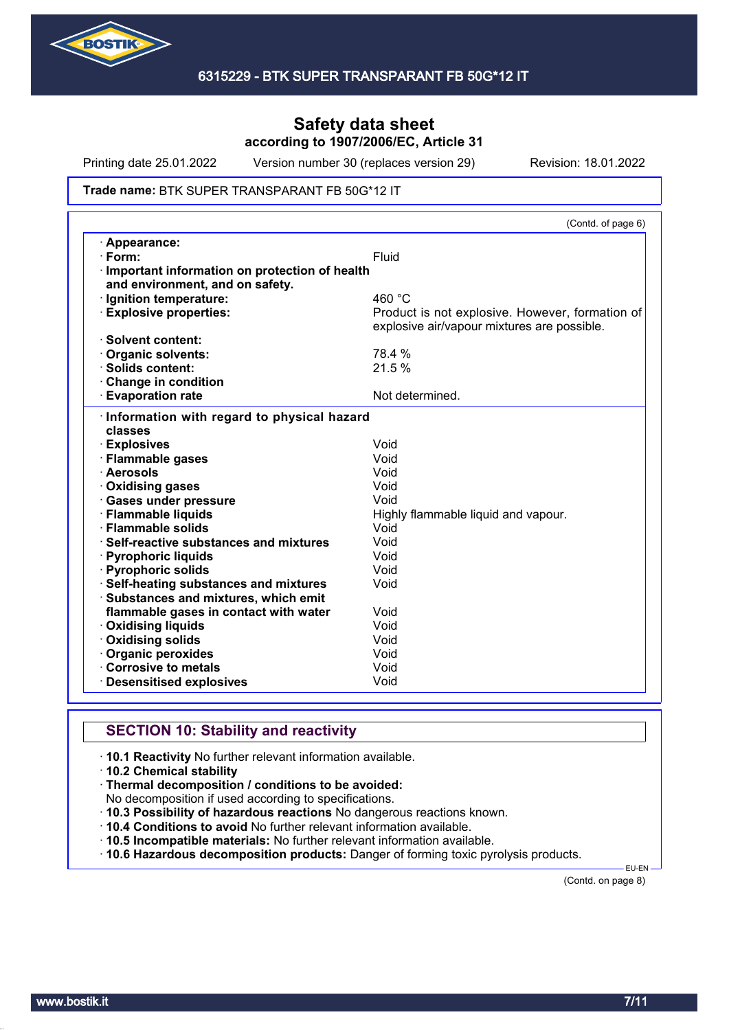

Printing date 25.01.2022 Version number 30 (replaces version 29) Revision: 18.01.2022

#### **Trade name: BTK SUPER TRANSPARANT FB 50G\*12 IT**

|                                               | (Contd. of page 6)                              |
|-----------------------------------------------|-------------------------------------------------|
| · Appearance:                                 |                                                 |
| $\cdot$ Form:                                 | Fluid                                           |
| Important information on protection of health |                                                 |
| and environment, and on safety.               |                                                 |
| · Ignition temperature:                       | 460 °C                                          |
| <b>Explosive properties:</b>                  | Product is not explosive. However, formation of |
|                                               | explosive air/vapour mixtures are possible.     |
| · Solvent content:                            |                                                 |
| <b>Organic solvents:</b>                      | 78.4 %                                          |
| $\cdot$ Solids content:                       | 21.5%                                           |
| Change in condition                           |                                                 |
| <b>Evaporation rate</b>                       | Not determined.                                 |
| · Information with regard to physical hazard  |                                                 |
| classes                                       |                                                 |
| · Explosives                                  | Void                                            |
| · Flammable gases                             | Void                                            |
| · Aerosols                                    | Void                                            |
| Oxidising gases                               | Void                                            |
| · Gases under pressure                        | Void                                            |
| · Flammable liquids                           | Highly flammable liquid and vapour.             |
| · Flammable solids                            | Void                                            |
| Self-reactive substances and mixtures         | Void                                            |
| · Pyrophoric liquids                          | Void                                            |
| · Pyrophoric solids                           | Void                                            |
| · Self-heating substances and mixtures        | Void                                            |
| · Substances and mixtures, which emit         |                                                 |
| flammable gases in contact with water         | Void                                            |
| <b>Oxidising liquids</b>                      | Void                                            |
| Oxidising solids                              | Void                                            |
| Organic peroxides                             | Void                                            |
| Corrosive to metals                           | Void                                            |
| <b>Desensitised explosives</b>                | Void                                            |

## **SECTION 10: Stability and reactivity**

· **10.1 Reactivity** No further relevant information available.

- · **10.2 Chemical stability**
- · **Thermal decomposition / conditions to be avoided:**

No decomposition if used according to specifications.

- · **10.3 Possibility of hazardous reactions** No dangerous reactions known.
- · **10.4 Conditions to avoid** No further relevant information available.
- · **10.5 Incompatible materials:** No further relevant information available.
- · **10.6 Hazardous decomposition products:** Danger of forming toxic pyrolysis products.

(Contd. on page 8)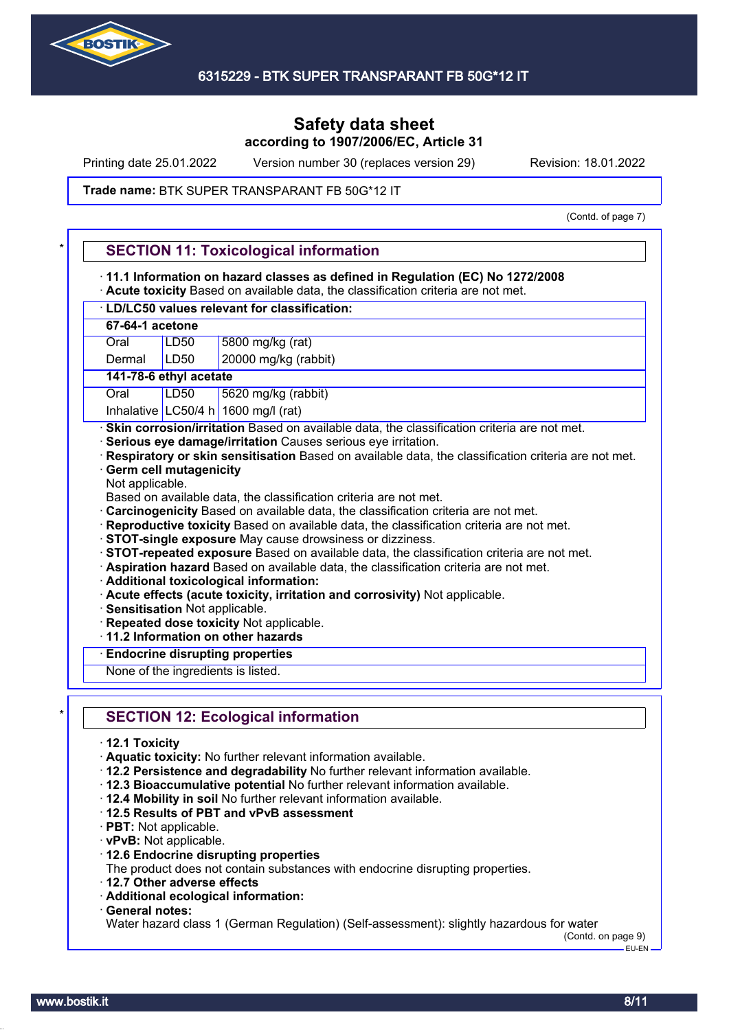

Printing date 25.01.2022 Version number 30 (replaces version 29) Revision: 18.01.2022

#### **Trade name: BTK SUPER TRANSPARANT FB 50G\*12 IT**

(Contd. of page 7)

|                                                                            | · 11.1 Information on hazard classes as defined in Regulation (EC) No 1272/2008<br>· Acute toxicity Based on available data, the classification criteria are not met.                                                                                                                                                                                                                                                                                                                                                                                                                                                                                                                                                                                                                                                                                                                                                                                                                                                                          |
|----------------------------------------------------------------------------|------------------------------------------------------------------------------------------------------------------------------------------------------------------------------------------------------------------------------------------------------------------------------------------------------------------------------------------------------------------------------------------------------------------------------------------------------------------------------------------------------------------------------------------------------------------------------------------------------------------------------------------------------------------------------------------------------------------------------------------------------------------------------------------------------------------------------------------------------------------------------------------------------------------------------------------------------------------------------------------------------------------------------------------------|
|                                                                            | · LD/LC50 values relevant for classification:                                                                                                                                                                                                                                                                                                                                                                                                                                                                                                                                                                                                                                                                                                                                                                                                                                                                                                                                                                                                  |
| 67-64-1 acetone                                                            |                                                                                                                                                                                                                                                                                                                                                                                                                                                                                                                                                                                                                                                                                                                                                                                                                                                                                                                                                                                                                                                |
| Oral                                                                       | 5800 mg/kg (rat)<br>LD50                                                                                                                                                                                                                                                                                                                                                                                                                                                                                                                                                                                                                                                                                                                                                                                                                                                                                                                                                                                                                       |
| Dermal                                                                     | 20000 mg/kg (rabbit)<br>LD <sub>50</sub>                                                                                                                                                                                                                                                                                                                                                                                                                                                                                                                                                                                                                                                                                                                                                                                                                                                                                                                                                                                                       |
|                                                                            | 141-78-6 ethyl acetate                                                                                                                                                                                                                                                                                                                                                                                                                                                                                                                                                                                                                                                                                                                                                                                                                                                                                                                                                                                                                         |
| Oral                                                                       | <b>LD50</b><br>5620 mg/kg (rabbit)                                                                                                                                                                                                                                                                                                                                                                                                                                                                                                                                                                                                                                                                                                                                                                                                                                                                                                                                                                                                             |
|                                                                            | Inhalative LC50/4 h 1600 mg/l (rat)                                                                                                                                                                                                                                                                                                                                                                                                                                                                                                                                                                                                                                                                                                                                                                                                                                                                                                                                                                                                            |
| Not applicable.                                                            | · Serious eye damage/irritation Causes serious eye irritation.<br>Respiratory or skin sensitisation Based on available data, the classification criteria are not met.<br><b>Germ cell mutagenicity</b><br>Based on available data, the classification criteria are not met.<br>Carcinogenicity Based on available data, the classification criteria are not met.<br>Reproductive toxicity Based on available data, the classification criteria are not met.<br>· STOT-single exposure May cause drowsiness or dizziness.<br>· STOT-repeated exposure Based on available data, the classification criteria are not met.<br>· Aspiration hazard Based on available data, the classification criteria are not met.<br>· Additional toxicological information:<br>· Acute effects (acute toxicity, irritation and corrosivity) Not applicable.<br>· Sensitisation Not applicable.<br>· Repeated dose toxicity Not applicable.<br>11.2 Information on other hazards<br><b>Endocrine disrupting properties</b><br>None of the ingredients is listed. |
|                                                                            | <b>SECTION 12: Ecological information</b>                                                                                                                                                                                                                                                                                                                                                                                                                                                                                                                                                                                                                                                                                                                                                                                                                                                                                                                                                                                                      |
| $\cdot$ 12.1 Toxicity<br>· PBT: Not applicable.<br>· vPvB: Not applicable. | · Aquatic toxicity: No further relevant information available.<br>· 12.2 Persistence and degradability No further relevant information available.<br>· 12.3 Bioaccumulative potential No further relevant information available.<br>. 12.4 Mobility in soil No further relevant information available.<br>12.5 Results of PBT and vPvB assessment<br>12.6 Endocrine disrupting properties<br>The product does not contain substances with endocrine disrupting properties.<br>12.7 Other adverse effects                                                                                                                                                                                                                                                                                                                                                                                                                                                                                                                                       |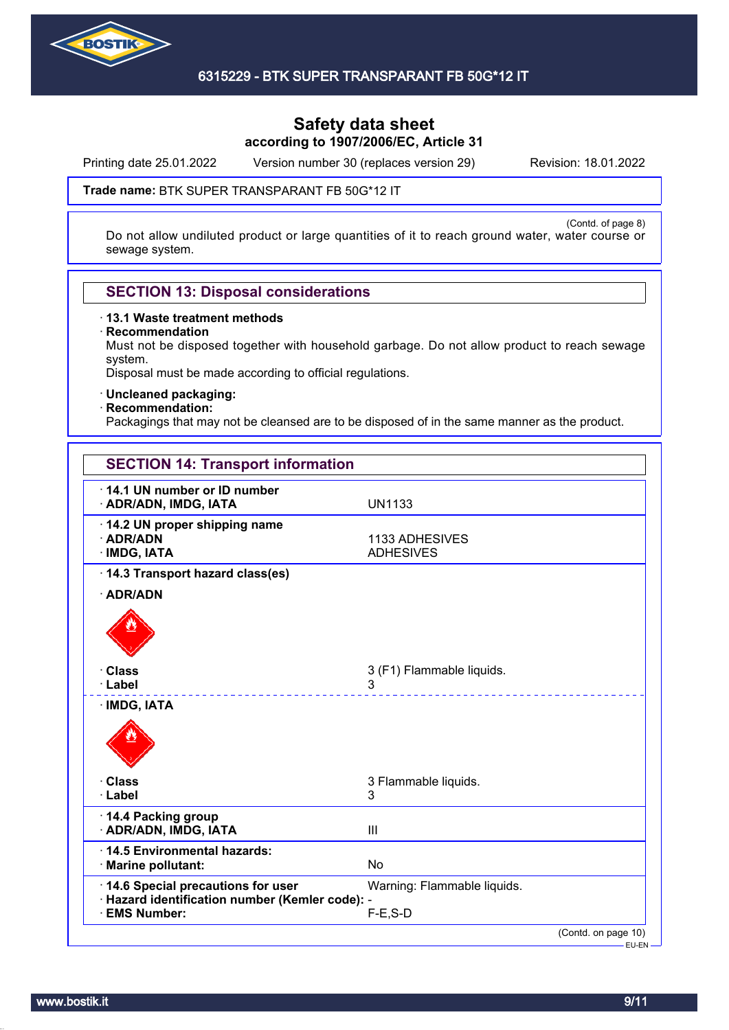

Printing date 25.01.2022 Version number 30 (replaces version 29) Revision: 18.01.2022

#### **Trade name: BTK SUPER TRANSPARANT FB 50G\*12 IT**

(Contd. of page 8) Do not allow undiluted product or large quantities of it to reach ground water, water course or sewage system.

## **SECTION 13: Disposal considerations**

· **13.1 Waste treatment methods**

· **Recommendation**

Must not be disposed together with household garbage. Do not allow product to reach sewage system.

Disposal must be made according to official regulations.

· **Uncleaned packaging:**

#### · **Recommendation:**

Packagings that may not be cleansed are to be disposed of in the same manner as the product.

| <b>SECTION 14: Transport information</b>                                                                   |                                            |
|------------------------------------------------------------------------------------------------------------|--------------------------------------------|
| 14.1 UN number or ID number<br>· ADR/ADN, IMDG, IATA                                                       | <b>UN1133</b>                              |
| 14.2 UN proper shipping name<br>· ADR/ADN<br>· IMDG, IATA                                                  | 1133 ADHESIVES<br><b>ADHESIVES</b>         |
| 14.3 Transport hazard class(es)<br>· ADR/ADN                                                               |                                            |
| · Class<br>· Label                                                                                         | 3 (F1) Flammable liquids.<br>3             |
| · IMDG, IATA                                                                                               |                                            |
| <b>· Class</b><br>· Label                                                                                  | 3 Flammable liquids.<br>3                  |
| 14.4 Packing group<br>· ADR/ADN, IMDG, IATA                                                                | III                                        |
| 14.5 Environmental hazards:<br>· Marine pollutant:                                                         | <b>No</b>                                  |
| 14.6 Special precautions for user<br>· Hazard identification number (Kemler code): -<br><b>EMS Number:</b> | Warning: Flammable liquids.<br>$F-E$ , S-D |
|                                                                                                            | (Contd. on page 10)                        |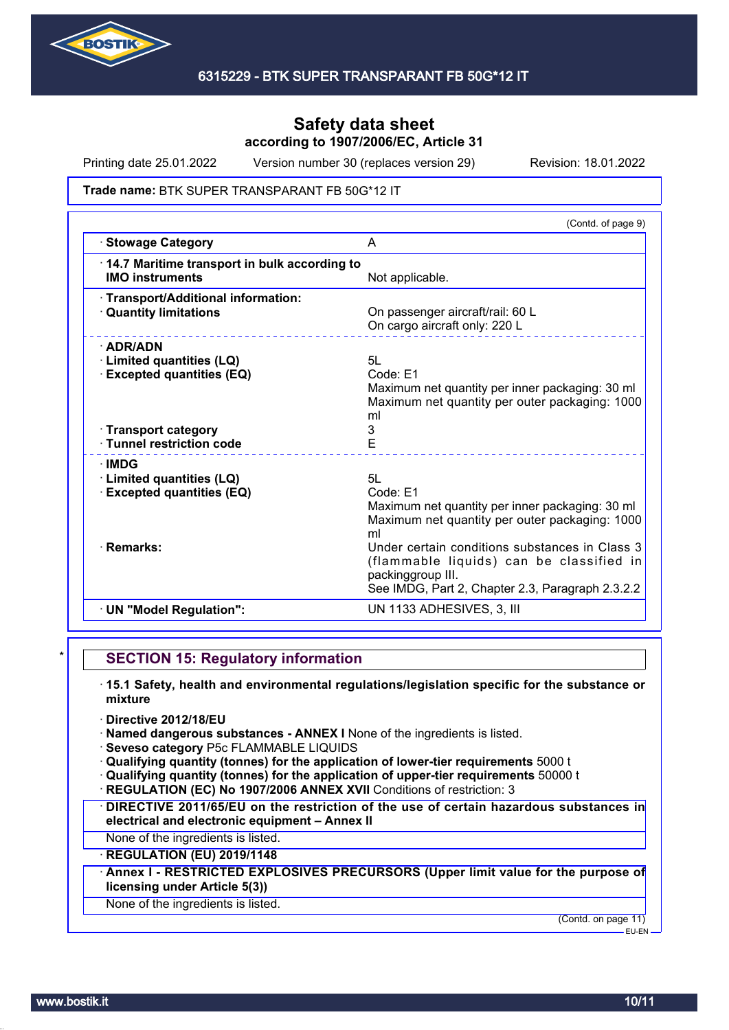

Printing date 25.01.2022 Version number 30 (replaces version 29) Revision: 18.01.2022

#### **Trade name: BTK SUPER TRANSPARANT FB 50G\*12 IT**

| (Contd. of page 9)                                                                                                                                                                                                                                                                               |
|--------------------------------------------------------------------------------------------------------------------------------------------------------------------------------------------------------------------------------------------------------------------------------------------------|
| A                                                                                                                                                                                                                                                                                                |
| 14.7 Maritime transport in bulk according to<br>Not applicable.                                                                                                                                                                                                                                  |
| On passenger aircraft/rail: 60 L<br>On cargo aircraft only: 220 L                                                                                                                                                                                                                                |
| 5L<br>Code: E1<br>Maximum net quantity per inner packaging: 30 ml<br>Maximum net quantity per outer packaging: 1000<br>ml<br>3<br>E                                                                                                                                                              |
| 5L<br>Code: E1<br>Maximum net quantity per inner packaging: 30 ml<br>Maximum net quantity per outer packaging: 1000<br>ml<br>Under certain conditions substances in Class 3<br>(flammable liquids) can be classified in<br>packinggroup III.<br>See IMDG, Part 2, Chapter 2.3, Paragraph 2.3.2.2 |
|                                                                                                                                                                                                                                                                                                  |
|                                                                                                                                                                                                                                                                                                  |

## **SECTION 15: Regulatory information**

- · **15.1 Safety, health and environmental regulations/legislation specific for the substance or mixture**
- · **Directive 2012/18/EU**
- · **Named dangerous substances ANNEX I** None of the ingredients is listed.
- · **Seveso category** P5c FLAMMABLE LIQUIDS
- · **Qualifying quantity (tonnes) for the application of lower-tier requirements** 5000 t
- · **Qualifying quantity (tonnes) for the application of upper-tier requirements** 50000 t
- **REGULATION (EC) No 1907/2006 ANNEX XVII Conditions of restriction: 3**
- · **DIRECTIVE 2011/65/EU on the restriction of the use of certain hazardous substances in electrical and electronic equipment – Annex II**
- None of the ingredients is listed.

## · **REGULATION (EU) 2019/1148**

· **Annex I - RESTRICTED EXPLOSIVES PRECURSORS (Upper limit value for the purpose of licensing under Article 5(3))**

#### None of the ingredients is listed.

(Contd. on page 11)